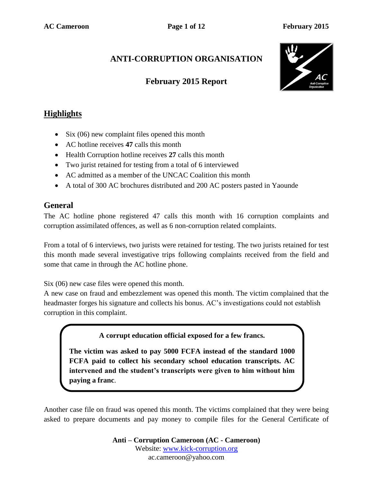# **ANTI-CORRUPTION ORGANISATION**

## **February 2015 Report**



## **Highlights**

- Six (06) new complaint files opened this month
- AC hotline receives **47** calls this month
- Health Corruption hotline receives **27** calls this month
- Two jurist retained for testing from a total of 6 interviewed
- AC admitted as a member of the UNCAC Coalition this month
- A total of 300 AC brochures distributed and 200 AC posters pasted in Yaounde

### **General**

The AC hotline phone registered 47 calls this month with 16 corruption complaints and corruption assimilated offences, as well as 6 non-corruption related complaints.

From a total of 6 interviews, two jurists were retained for testing. The two jurists retained for test this month made several investigative trips following complaints received from the field and some that came in through the AC hotline phone.

Six (06) new case files were opened this month.

A new case on fraud and embezzlement was opened this month. The victim complained that the headmaster forges his signature and collects his bonus. AC's investigations could not establish corruption in this complaint.

**A corrupt education official exposed for a few francs.**

**The victim was asked to pay 5000 FCFA instead of the standard 1000 FCFA paid to collect his secondary school education transcripts. AC intervened and the student's transcripts were given to him without him paying a franc**.

Another case file on fraud was opened this month. The victims complained that they were being asked to prepare documents and pay money to compile files for the General Certificate of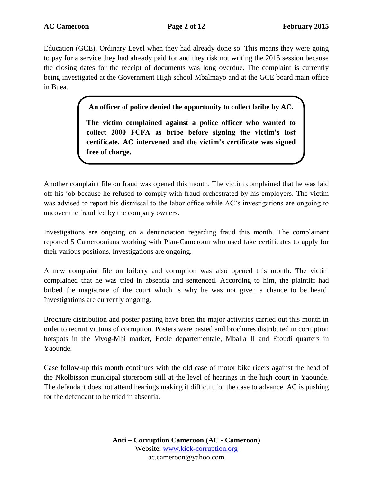Education (GCE), Ordinary Level when they had already done so. This means they were going to pay for a service they had already paid for and they risk not writing the 2015 session because the closing dates for the receipt of documents was long overdue. The complaint is currently being investigated at the Government High school Mbalmayo and at the GCE board main office in Buea.

**An officer of police denied the opportunity to collect bribe by AC.**

**The victim complained against a police officer who wanted to collect 2000 FCFA as bribe before signing the victim's lost certificate. AC intervened and the victim's certificate was signed free of charge.**

Another complaint file on fraud was opened this month. The victim complained that he was laid off his job because he refused to comply with fraud orchestrated by his employers. The victim was advised to report his dismissal to the labor office while AC's investigations are ongoing to uncover the fraud led by the company owners.

Investigations are ongoing on a denunciation regarding fraud this month. The complainant reported 5 Cameroonians working with Plan-Cameroon who used fake certificates to apply for their various positions. Investigations are ongoing.

A new complaint file on bribery and corruption was also opened this month. The victim complained that he was tried in absentia and sentenced. According to him, the plaintiff had bribed the magistrate of the court which is why he was not given a chance to be heard. Investigations are currently ongoing.

Brochure distribution and poster pasting have been the major activities carried out this month in order to recruit victims of corruption. Posters were pasted and brochures distributed in corruption hotspots in the Mvog-Mbi market, Ecole departementale, Mballa II and Etoudi quarters in Yaounde.

Case follow-up this month continues with the old case of motor bike riders against the head of the Nkolbisson municipal storeroom still at the level of hearings in the high court in Yaounde. The defendant does not attend hearings making it difficult for the case to advance. AC is pushing for the defendant to be tried in absentia.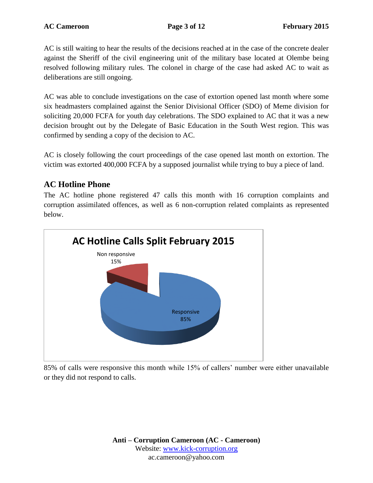AC is still waiting to hear the results of the decisions reached at in the case of the concrete dealer against the Sheriff of the civil engineering unit of the military base located at Olembe being resolved following military rules. The colonel in charge of the case had asked AC to wait as deliberations are still ongoing.

AC was able to conclude investigations on the case of extortion opened last month where some six headmasters complained against the Senior Divisional Officer (SDO) of Meme division for soliciting 20,000 FCFA for youth day celebrations. The SDO explained to AC that it was a new decision brought out by the Delegate of Basic Education in the South West region. This was confirmed by sending a copy of the decision to AC.

AC is closely following the court proceedings of the case opened last month on extortion. The victim was extorted 400,000 FCFA by a supposed journalist while trying to buy a piece of land.

### **AC Hotline Phone**

The AC hotline phone registered 47 calls this month with 16 corruption complaints and corruption assimilated offences, as well as 6 non-corruption related complaints as represented below.



85% of calls were responsive this month while 15% of callers' number were either unavailable or they did not respond to calls.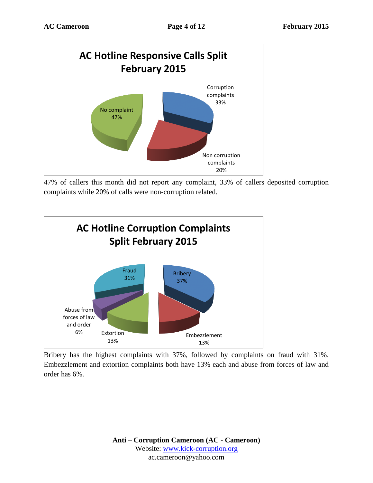

47% of callers this month did not report any complaint, 33% of callers deposited corruption complaints while 20% of calls were non-corruption related.



Bribery has the highest complaints with 37%, followed by complaints on fraud with 31%. Embezzlement and extortion complaints both have 13% each and abuse from forces of law and order has 6%.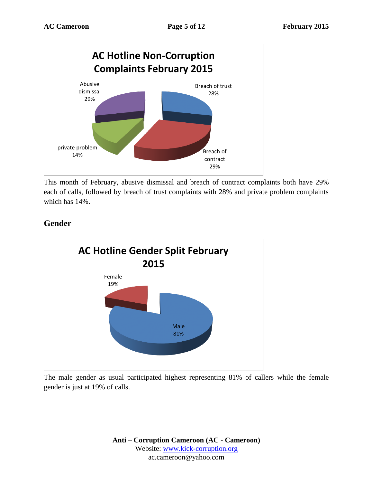

This month of February, abusive dismissal and breach of contract complaints both have 29% each of calls, followed by breach of trust complaints with 28% and private problem complaints which has 14%.



### **Gender**

The male gender as usual participated highest representing 81% of callers while the female gender is just at 19% of calls.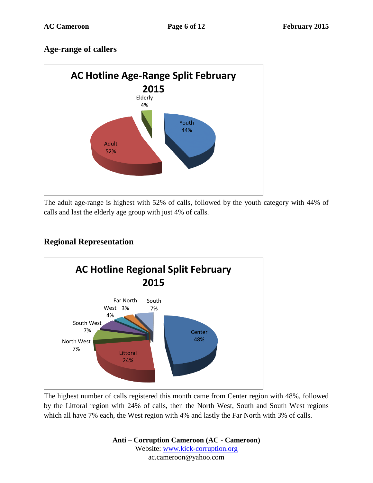### **Age-range of callers**



The adult age-range is highest with 52% of calls, followed by the youth category with 44% of calls and last the elderly age group with just 4% of calls.

## **Regional Representation**



The highest number of calls registered this month came from Center region with 48%, followed by the Littoral region with 24% of calls, then the North West, South and South West regions which all have 7% each, the West region with 4% and lastly the Far North with 3% of calls.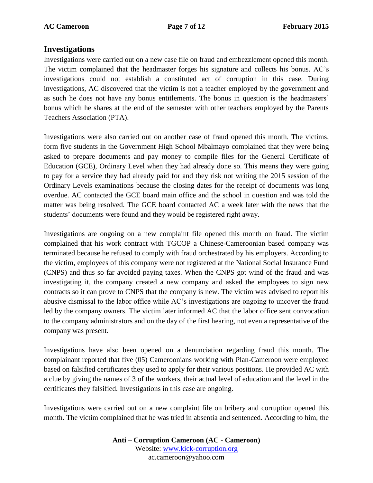### **Investigations**

Investigations were carried out on a new case file on fraud and embezzlement opened this month. The victim complained that the headmaster forges his signature and collects his bonus. AC's investigations could not establish a constituted act of corruption in this case. During investigations, AC discovered that the victim is not a teacher employed by the government and as such he does not have any bonus entitlements. The bonus in question is the headmasters' bonus which he shares at the end of the semester with other teachers employed by the Parents Teachers Association (PTA).

Investigations were also carried out on another case of fraud opened this month. The victims, form five students in the Government High School Mbalmayo complained that they were being asked to prepare documents and pay money to compile files for the General Certificate of Education (GCE), Ordinary Level when they had already done so. This means they were going to pay for a service they had already paid for and they risk not writing the 2015 session of the Ordinary Levels examinations because the closing dates for the receipt of documents was long overdue. AC contacted the GCE board main office and the school in question and was told the matter was being resolved. The GCE board contacted AC a week later with the news that the students' documents were found and they would be registered right away.

Investigations are ongoing on a new complaint file opened this month on fraud. The victim complained that his work contract with TGCOP a Chinese-Cameroonian based company was terminated because he refused to comply with fraud orchestrated by his employers. According to the victim, employees of this company were not registered at the National Social Insurance Fund (CNPS) and thus so far avoided paying taxes. When the CNPS got wind of the fraud and was investigating it, the company created a new company and asked the employees to sign new contracts so it can prove to CNPS that the company is new. The victim was advised to report his abusive dismissal to the labor office while AC's investigations are ongoing to uncover the fraud led by the company owners. The victim later informed AC that the labor office sent convocation to the company administrators and on the day of the first hearing, not even a representative of the company was present.

Investigations have also been opened on a denunciation regarding fraud this month. The complainant reported that five (05) Cameroonians working with Plan-Cameroon were employed based on falsified certificates they used to apply for their various positions. He provided AC with a clue by giving the names of 3 of the workers, their actual level of education and the level in the certificates they falsified. Investigations in this case are ongoing.

Investigations were carried out on a new complaint file on bribery and corruption opened this month. The victim complained that he was tried in absentia and sentenced. According to him, the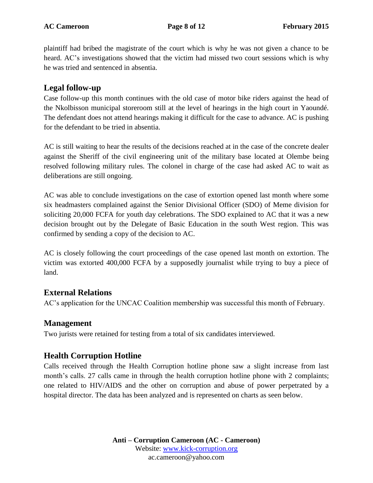plaintiff had bribed the magistrate of the court which is why he was not given a chance to be heard. AC's investigations showed that the victim had missed two court sessions which is why he was tried and sentenced in absentia.

### **Legal follow-up**

Case follow-up this month continues with the old case of motor bike riders against the head of the Nkolbisson municipal storeroom still at the level of hearings in the high court in Yaoundé. The defendant does not attend hearings making it difficult for the case to advance. AC is pushing for the defendant to be tried in absentia.

AC is still waiting to hear the results of the decisions reached at in the case of the concrete dealer against the Sheriff of the civil engineering unit of the military base located at Olembe being resolved following military rules. The colonel in charge of the case had asked AC to wait as deliberations are still ongoing.

AC was able to conclude investigations on the case of extortion opened last month where some six headmasters complained against the Senior Divisional Officer (SDO) of Meme division for soliciting 20,000 FCFA for youth day celebrations. The SDO explained to AC that it was a new decision brought out by the Delegate of Basic Education in the south West region. This was confirmed by sending a copy of the decision to AC.

AC is closely following the court proceedings of the case opened last month on extortion. The victim was extorted 400,000 FCFA by a supposedly journalist while trying to buy a piece of land.

### **External Relations**

AC's application for the UNCAC Coalition membership was successful this month of February.

### **Management**

Two jurists were retained for testing from a total of six candidates interviewed.

### **Health Corruption Hotline**

Calls received through the Health Corruption hotline phone saw a slight increase from last month's calls. 27 calls came in through the health corruption hotline phone with 2 complaints; one related to HIV/AIDS and the other on corruption and abuse of power perpetrated by a hospital director. The data has been analyzed and is represented on charts as seen below.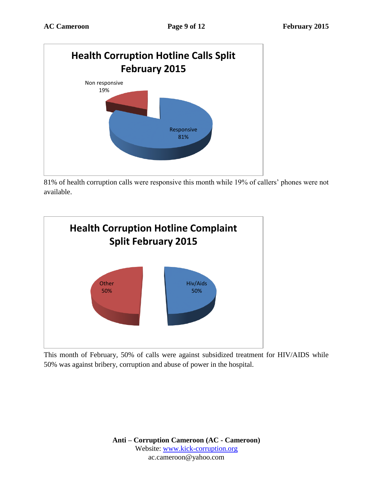

81% of health corruption calls were responsive this month while 19% of callers' phones were not available.



This month of February, 50% of calls were against subsidized treatment for HIV/AIDS while 50% was against bribery, corruption and abuse of power in the hospital.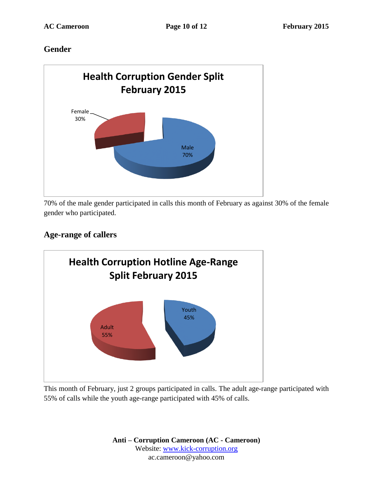### **Gender**



70% of the male gender participated in calls this month of February as against 30% of the female gender who participated.

## **Age-range of callers**



This month of February, just 2 groups participated in calls. The adult age-range participated with 55% of calls while the youth age-range participated with 45% of calls.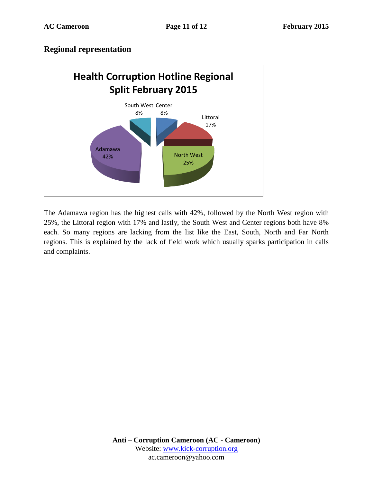### **Regional representation**



The Adamawa region has the highest calls with 42%, followed by the North West region with 25%, the Littoral region with 17% and lastly, the South West and Center regions both have 8% each. So many regions are lacking from the list like the East, South, North and Far North regions. This is explained by the lack of field work which usually sparks participation in calls and complaints.